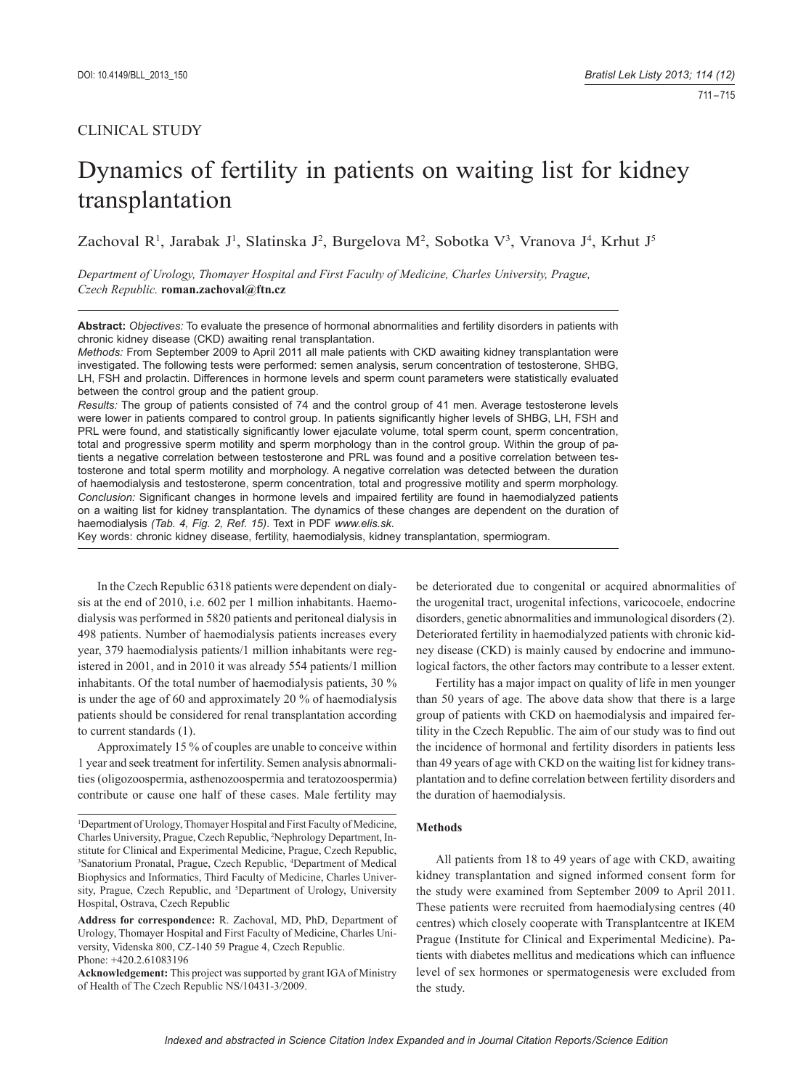# CLINICAL STUDY

# Dynamics of fertility in patients on waiting list for kidney transplantation

Zachoval R<sup>1</sup>, Jarabak J<sup>1</sup>, Slatinska J<sup>2</sup>, Burgelova M<sup>2</sup>, Sobotka V<sup>3</sup>, Vranova J<sup>4</sup>, Krhut J<sup>5</sup>

*Department of Urology, Thomayer Hospital and First Faculty of Medicine, Charles University, Prague, Czech Republic.* **roman.zachoval@ftn.cz**

**Abstract:** *Objectives:* To evaluate the presence of hormonal abnormalities and fertility disorders in patients with chronic kidney disease (CKD) awaiting renal transplantation.

*Methods:* From September 2009 to April 2011 all male patients with CKD awaiting kidney transplantation were investigated. The following tests were performed: semen analysis, serum concentration of testosterone, SHBG, LH, FSH and prolactin. Differences in hormone levels and sperm count parameters were statistically evaluated between the control group and the patient group.

*Results:* The group of patients consisted of 74 and the control group of 41 men. Average testosterone levels were lower in patients compared to control group. In patients significantly higher levels of SHBG, LH, FSH and PRL were found, and statistically significantly lower ejaculate volume, total sperm count, sperm concentration, total and progressive sperm motility and sperm morphology than in the control group. Within the group of patients a negative correlation between testosterone and PRL was found and a positive correlation between testosterone and total sperm motility and morphology. A negative correlation was detected between the duration of haemodialysis and testosterone, sperm concentration, total and progressive motility and sperm morphology. *Conclusion:* Significant changes in hormone levels and impaired fertility are found in haemodialyzed patients on a waiting list for kidney transplantation. The dynamics of these changes are dependent on the duration of haemodialysis *(Tab. 4, Fig. 2, Ref. 15)*. Text in PDF *www.elis.sk.*

Key words: chronic kidney disease, fertility, haemodialysis, kidney transplantation, spermiogram.

In the Czech Republic 6318 patients were dependent on dialysis at the end of 2010, i.e. 602 per 1 million inhabitants. Haemodialysis was performed in 5820 patients and peritoneal dialysis in 498 patients. Number of haemodialysis patients increases every year, 379 haemodialysis patients/1 million inhabitants were registered in 2001, and in 2010 it was already 554 patients/1 million inhabitants. Of the total number of haemodialysis patients, 30 % is under the age of 60 and approximately 20 % of haemodialysis patients should be considered for renal transplantation according to current standards (1).

Approximately 15 % of couples are unable to conceive within 1 year and seek treatment for infertility. Semen analysis abnormalities (oligozoospermia, asthenozoospermia and teratozoospermia) contribute or cause one half of these cases. Male fertility may

be deteriorated due to congenital or acquired abnormalities of the urogenital tract, urogenital infections, varicocoele, endocrine disorders, genetic abnormalities and immunological disorders (2). Deteriorated fertility in haemodialyzed patients with chronic kidney disease (CKD) is mainly caused by endocrine and immunological factors, the other factors may contribute to a lesser extent.

Fertility has a major impact on quality of life in men younger than 50 years of age. The above data show that there is a large group of patients with CKD on haemodialysis and impaired fertility in the Czech Republic. The aim of our study was to find out the incidence of hormonal and fertility disorders in patients less than 49 years of age with CKD on the waiting list for kidney transplantation and to define correlation between fertility disorders and the duration of haemodialysis.

#### **Methods**

All patients from 18 to 49 years of age with CKD, awaiting kidney transplantation and signed informed consent form for the study were examined from September 2009 to April 2011. These patients were recruited from haemodialysing centres (40 centres) which closely cooperate with Transplantcentre at IKEM Prague (Institute for Clinical and Experimental Medicine). Patients with diabetes mellitus and medications which can influence level of sex hormones or spermatogenesis were excluded from the study.

<sup>&</sup>lt;sup>1</sup>Department of Urology, Thomayer Hospital and First Faculty of Medicine, Charles University, Prague, Czech Republic, 2 Nephrology Department, Institute for Clinical and Experimental Medicine, Prague, Czech Republic, <sup>3</sup>Sanatorium Pronatal, Prague, Czech Republic, <sup>4</sup>Department of Medical Biophysics and Informatics, Third Faculty of Medicine, Charles University, Prague, Czech Republic, and <sup>5</sup>Department of Urology, University Hospital, Ostrava, Czech Republic

**Address for correspondence:** R. Zachoval, MD, PhD, Department of Urology, Thomayer Hospital and First Faculty of Medicine, Charles University, Videnska 800, CZ-140 59 Prague 4, Czech Republic. Phone: +420.2.61083196

**Acknowledgement:** This project was supported by grant IGA of Ministry of Health of The Czech Republic NS/10431-3/2009.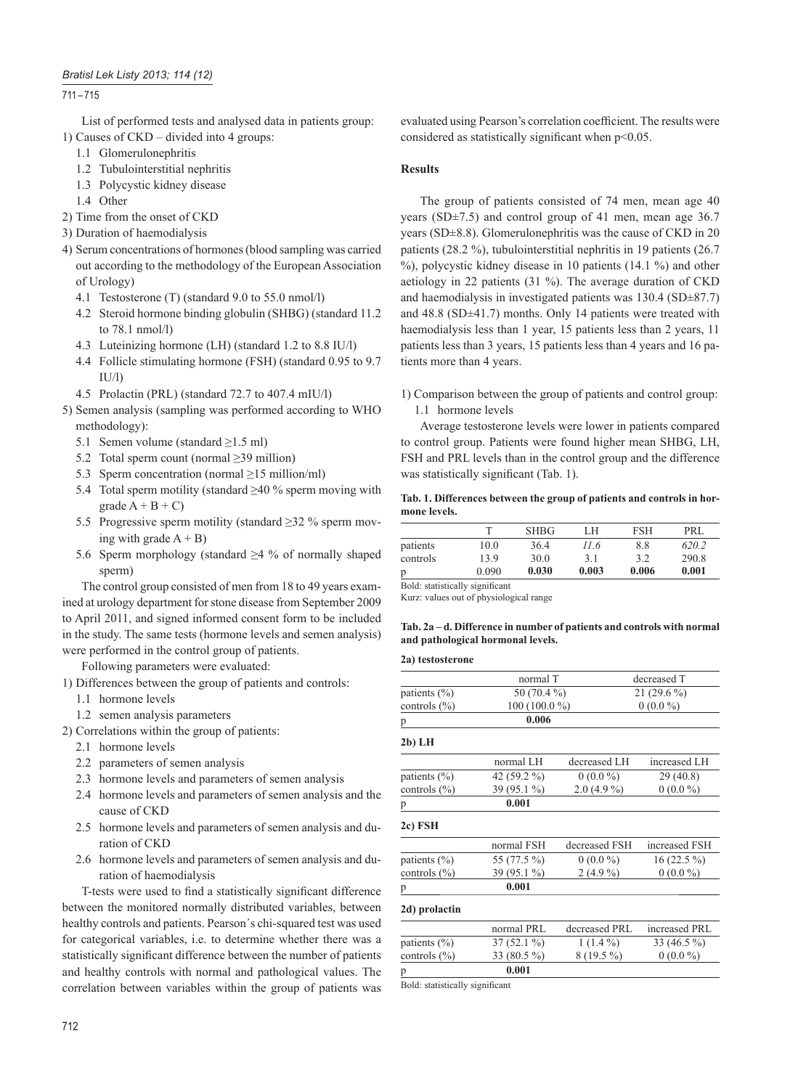## 711 – 715

List of performed tests and analysed data in patients group: 1) Causes of CKD – divided into 4 groups:

- 1.1 Glomerulonephritis
- 1.2 Tubulointerstitial nephritis
- 1.3 Polycystic kidney disease
- 1.4 Other
- 2) Time from the onset of CKD
- 3) Duration of haemodialysis
- 4) Serum concentrations of hormones (blood sampling was carried out according to the methodology of the European Association of Urology)
	- 4.1 Testosterone (T) (standard 9.0 to 55.0 nmol/l)
	- 4.2 Steroid hormone binding globulin (SHBG) (standard 11.2 to 78.1 nmol/l)
	- 4.3 Luteinizing hormone (LH) (standard 1.2 to 8.8 IU/l)
	- 4.4 Follicle stimulating hormone (FSH) (standard 0.95 to 9.7  $II/1$
	- 4.5 Prolactin (PRL) (standard 72.7 to 407.4 mIU/l)
- 5) Semen analysis (sampling was performed according to WHO methodology):
	- 5.1 Semen volume (standard  $\geq$ 1.5 ml)
	- 5.2 Total sperm count (normal ≥39 million)
	- 5.3 Sperm concentration (normal  $\geq$ 15 million/ml)
	- 5.4 Total sperm motility (standard  $\geq$ 40 % sperm moving with grade  $A + B + C$
	- 5.5 Progressive sperm motility (standard  $\geq$ 32 % sperm moving with grade  $A + B$ )
	- 5.6 Sperm morphology (standard ≥4 % of normally shaped sperm)

The control group consisted of men from 18 to 49 years examined at urology department for stone disease from September 2009 to April 2011, and signed informed consent form to be included in the study. The same tests (hormone levels and semen analysis) were performed in the control group of patients.

Following parameters were evaluated:

- 1) Differences between the group of patients and controls:
	- 1.1 hormone levels
	- 1.2 semen analysis parameters

2) Correlations within the group of patients:

- 2.1 hormone levels
- 2.2 parameters of semen analysis
- 2.3 hormone levels and parameters of semen analysis
- 2.4 hormone levels and parameters of semen analysis and the cause of CKD
- 2.5 hormone levels and parameters of semen analysis and duration of CKD
- 2.6 hormone levels and parameters of semen analysis and duration of haemodialysis

T-tests were used to find a statistically significant difference between the monitored normally distributed variables, between healthy controls and patients. Pearson´s chi-squared test was used for categorical variables, i.e. to determine whether there was a statistically significant difference between the number of patients and healthy controls with normal and pathological values. The correlation between variables within the group of patients was

evaluated using Pearson's correlation coefficient. The results were considered as statistically significant when  $p<0.05$ .

## **Results**

The group of patients consisted of 74 men, mean age 40 years (SD±7.5) and control group of 41 men, mean age 36.7 years (SD±8.8). Glomerulonephritis was the cause of CKD in 20 patients (28.2 %), tubulointerstitial nephritis in 19 patients (26.7 %), polycystic kidney disease in 10 patients (14.1 %) and other aetiology in 22 patients (31 %). The average duration of CKD and haemodialysis in investigated patients was 130.4 (SD±87.7) and 48.8 (SD±41.7) months. Only 14 patients were treated with haemodialysis less than 1 year, 15 patients less than 2 years, 11 patients less than 3 years, 15 patients less than 4 years and 16 patients more than 4 years.

1) Comparison between the group of patients and control group: 1.1 hormone levels

Average testosterone levels were lower in patients compared to control group. Patients were found higher mean SHBG, LH, FSH and PRL levels than in the control group and the difference was statistically significant (Tab. 1).

## **Tab. 1. Differences between the group of patients and controls in hormone levels.**

|          |       | <b>SHBG</b> | LH    | <b>FSH</b> | PRI.  |
|----------|-------|-------------|-------|------------|-------|
| patients | 10.0  | 36.4        | 11.6  | 8.8        | 620.2 |
| controls | 139   | 30.0        | 3.1   | 32         | 290.8 |
| p        | 0.090 | 0.030       | 0.003 | 0.006      | 0.001 |

Kurz: values out of physiological range

**Tab. 2a – d. Difference in number of patients and controls with normal and pathological hormonal levels.**

#### **2a) testosterone**

| normal T      |              | decreased T   |  |
|---------------|--------------|---------------|--|
| 50 (70.4 %)   |              | 21 $(29.6\%)$ |  |
| 100 (100.0 %) |              | $0(0.0\%)$    |  |
| 0.006         |              |               |  |
|               |              |               |  |
| normal LH     |              | increased LH  |  |
| 42 (59.2 %)   | $0(0.0\%)$   | 29(40.8)      |  |
| 39 (95.1 %)   | $2.0(4.9\%)$ | $0(0.0\%)$    |  |
| 0.001         |              |               |  |
|               |              |               |  |
|               |              | decreased LH  |  |

|                  | normal FSH   | decreased FSH | increased FSH |
|------------------|--------------|---------------|---------------|
| patients $(\% )$ | 55 (77.5 %)  | $0(0.0\%)$    | $16(22.5\%)$  |
| controls $(\% )$ | $39(95.1\%)$ | $2(4.9\%)$    | $0(0.0\%)$    |
| p                | 0.001        |               |               |

# **2d) prolactin**

|                  | normal PRL    | decreased PRL | increased PRL |
|------------------|---------------|---------------|---------------|
| patients $(\% )$ | $37(52.1\%)$  | $1(1.4\%)$    | 33 $(46.5\%)$ |
| controls $(\% )$ | 33 $(80.5\%)$ | $8(19.5\%)$   | $0(0.0\%)$    |
|                  | 0.001         |               |               |

Bold: statistically significant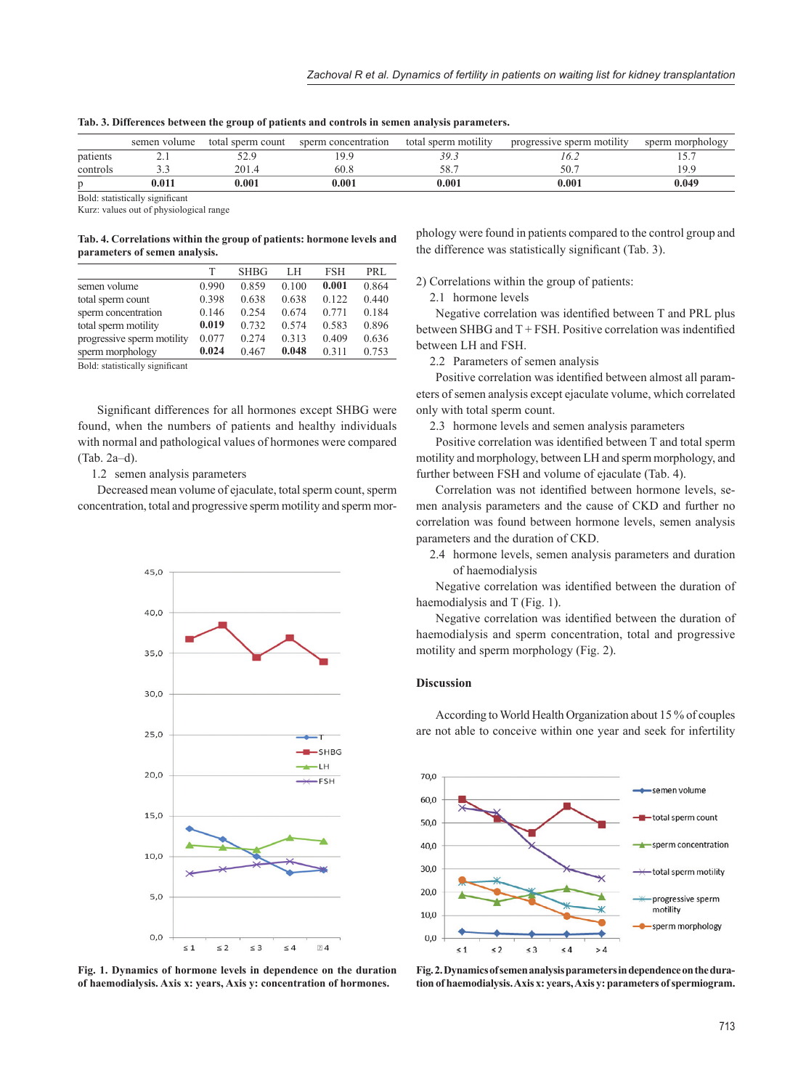|          | semen volume | total sperm count | sperm concentration | total sperm motility | progressive sperm motility | sperm morphology |
|----------|--------------|-------------------|---------------------|----------------------|----------------------------|------------------|
| patients |              |                   | .9.9                | 39.3                 | ! 6.∠                      |                  |
| controls |              | 201.4             | 60.8                | 58.7                 | 50.7                       | 1 Q Q            |
|          | $0.011\,$    | 0.001             | 0.001               | 0.001                | 0.001                      | 0.049            |

**Tab. 3. Differences between the group of patients and controls in semen analysis parameters.**

Bold: statistically significant

Kurz: values out of physiological range

## **Tab. 4. Correlations within the group of patients: hormone levels and parameters of semen analysis.**

|                            | т     | <b>SHBG</b> | LH    | <b>FSH</b> | PRL   |
|----------------------------|-------|-------------|-------|------------|-------|
| semen volume               | 0.990 | 0.859       | 0.100 | 0.001      | 0.864 |
| total sperm count          | 0.398 | 0.638       | 0.638 | 0.122      | 0.440 |
| sperm concentration        | 0.146 | 0.254       | 0.674 | 0.771      | 0.184 |
| total sperm motility       | 0.019 | 0.732       | 0.574 | 0.583      | 0.896 |
| progressive sperm motility | 0.077 | 0.274       | 0.313 | 0.409      | 0.636 |
| sperm morphology           | 0.024 | 0.467       | 0.048 | 0.311      | 0.753 |

Bold: statistically significant

Significant differences for all hormones except SHBG were found, when the numbers of patients and healthy individuals with normal and pathological values of hormones were compared (Tab. 2a–d).

1.2 semen analysis parameters

Decreased mean volume of ejaculate, total sperm count, sperm concentration, total and progressive sperm motility and sperm mor-



**Fig. 1. Dynamics of hormone levels in dependence on the duration of haemodialysis. Axis x: years, Axis y: concentration of hormones.**

phology were found in patients compared to the control group and the difference was statistically significant  $(Tab, 3)$ .

2) Correlations within the group of patients:

2.1 hormone levels

Negative correlation was identified between T and PRL plus between SHBG and  $T$  + FSH. Positive correlation was indentified between LH and FSH.

2.2 Parameters of semen analysis

Positive correlation was identified between almost all parameters of semen analysis except ejaculate volume, which correlated only with total sperm count.

2.3 hormone levels and semen analysis parameters

Positive correlation was identified between T and total sperm motility and morphology, between LH and sperm morphology, and further between FSH and volume of ejaculate (Tab. 4).

Correlation was not identified between hormone levels, semen analysis parameters and the cause of CKD and further no correlation was found between hormone levels, semen analysis parameters and the duration of CKD.

2.4 hormone levels, semen analysis parameters and duration of haemodialysis

Negative correlation was identified between the duration of haemodialysis and T (Fig. 1).

Negative correlation was identified between the duration of haemodialysis and sperm concentration, total and progressive motility and sperm morphology (Fig. 2).

## **Discussion**

According to World Health Organization about 15 % of couples are not able to conceive within one year and seek for infertility



**Fig. 2. Dynamics of semen analysis parameters in dependence on the duration of haemodialysis. Axis x: years, Axis y: parameters of spermiogram.**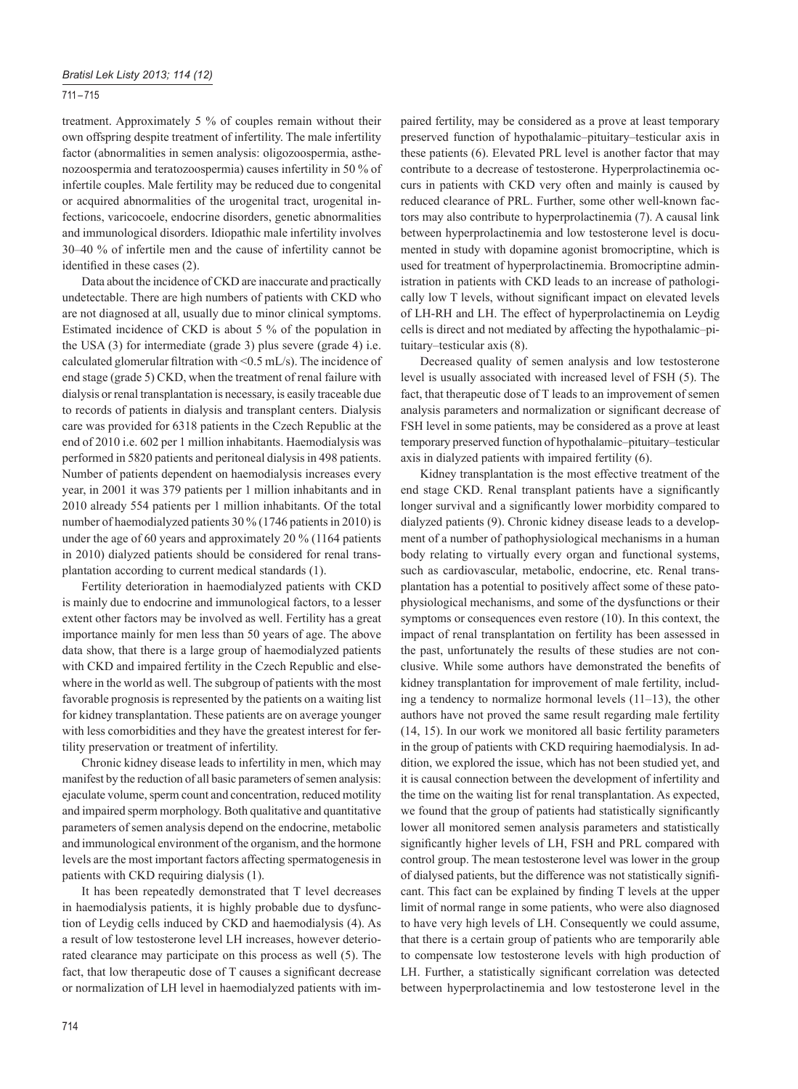## 711 – 715

treatment. Approximately 5 % of couples remain without their own offspring despite treatment of infertility. The male infertility factor (abnormalities in semen analysis: oligozoospermia, asthenozoospermia and teratozoospermia) causes infertility in 50 % of infertile couples. Male fertility may be reduced due to congenital or acquired abnormalities of the urogenital tract, urogenital infections, varicocoele, endocrine disorders, genetic abnormalities and immunological disorders. Idiopathic male infertility involves 30–40 % of infertile men and the cause of infertility cannot be identified in these cases  $(2)$ .

Data about the incidence of CKD are inaccurate and practically undetectable. There are high numbers of patients with CKD who are not diagnosed at all, usually due to minor clinical symptoms. Estimated incidence of CKD is about 5 % of the population in the USA (3) for intermediate (grade 3) plus severe (grade 4) i.e. calculated glomerular filtration with <0.5 mL/s). The incidence of end stage (grade 5) CKD, when the treatment of renal failure with dialysis or renal transplantation is necessary, is easily traceable due to records of patients in dialysis and transplant centers. Dialysis care was provided for 6318 patients in the Czech Republic at the end of 2010 i.e. 602 per 1 million inhabitants. Haemodialysis was performed in 5820 patients and peritoneal dialysis in 498 patients. Number of patients dependent on haemodialysis increases every year, in 2001 it was 379 patients per 1 million inhabitants and in 2010 already 554 patients per 1 million inhabitants. Of the total number of haemodialyzed patients 30 % (1746 patients in 2010) is under the age of 60 years and approximately 20 % (1164 patients in 2010) dialyzed patients should be considered for renal transplantation according to current medical standards (1).

Fertility deterioration in haemodialyzed patients with CKD is mainly due to endocrine and immunological factors, to a lesser extent other factors may be involved as well. Fertility has a great importance mainly for men less than 50 years of age. The above data show, that there is a large group of haemodialyzed patients with CKD and impaired fertility in the Czech Republic and elsewhere in the world as well. The subgroup of patients with the most favorable prognosis is represented by the patients on a waiting list for kidney transplantation. These patients are on average younger with less comorbidities and they have the greatest interest for fertility preservation or treatment of infertility.

Chronic kidney disease leads to infertility in men, which may manifest by the reduction of all basic parameters of semen analysis: ejaculate volume, sperm count and concentration, reduced motility and impaired sperm morphology. Both qualitative and quantitative parameters of semen analysis depend on the endocrine, metabolic and immunological environment of the organism, and the hormone levels are the most important factors affecting spermatogenesis in patients with CKD requiring dialysis (1).

It has been repeatedly demonstrated that T level decreases in haemodialysis patients, it is highly probable due to dysfunction of Leydig cells induced by CKD and haemodialysis (4). As a result of low testosterone level LH increases, however deteriorated clearance may participate on this process as well (5). The fact, that low therapeutic dose of T causes a significant decrease or normalization of LH level in haemodialyzed patients with impaired fertility, may be considered as a prove at least temporary preserved function of hypothalamic–pituitary–testicular axis in these patients (6). Elevated PRL level is another factor that may contribute to a decrease of testosterone. Hyperprolactinemia occurs in patients with CKD very often and mainly is caused by reduced clearance of PRL. Further, some other well-known factors may also contribute to hyperprolactinemia (7). A causal link between hyperprolactinemia and low testosterone level is documented in study with dopamine agonist bromocriptine, which is used for treatment of hyperprolactinemia. Bromocriptine administration in patients with CKD leads to an increase of pathologically low T levels, without significant impact on elevated levels of LH-RH and LH. The effect of hyperprolactinemia on Leydig cells is direct and not mediated by affecting the hypothalamic–pituitary–testicular axis (8).

Decreased quality of semen analysis and low testosterone level is usually associated with increased level of FSH (5). The fact, that therapeutic dose of T leads to an improvement of semen analysis parameters and normalization or significant decrease of FSH level in some patients, may be considered as a prove at least temporary preserved function of hypothalamic–pituitary–testicular axis in dialyzed patients with impaired fertility (6).

Kidney transplantation is the most effective treatment of the end stage CKD. Renal transplant patients have a significantly longer survival and a significantly lower morbidity compared to dialyzed patients (9). Chronic kidney disease leads to a development of a number of pathophysiological mechanisms in a human body relating to virtually every organ and functional systems, such as cardiovascular, metabolic, endocrine, etc. Renal transplantation has a potential to positively affect some of these patophysiological mechanisms, and some of the dysfunctions or their symptoms or consequences even restore (10). In this context, the impact of renal transplantation on fertility has been assessed in the past, unfortunately the results of these studies are not conclusive. While some authors have demonstrated the benefits of kidney transplantation for improvement of male fertility, including a tendency to normalize hormonal levels (11–13), the other authors have not proved the same result regarding male fertility (14, 15). In our work we monitored all basic fertility parameters in the group of patients with CKD requiring haemodialysis. In addition, we explored the issue, which has not been studied yet, and it is causal connection between the development of infertility and the time on the waiting list for renal transplantation. As expected, we found that the group of patients had statistically significantly lower all monitored semen analysis parameters and statistically significantly higher levels of LH, FSH and PRL compared with control group. The mean testosterone level was lower in the group of dialysed patients, but the difference was not statistically signifi cant. This fact can be explained by finding T levels at the upper limit of normal range in some patients, who were also diagnosed to have very high levels of LH. Consequently we could assume, that there is a certain group of patients who are temporarily able to compensate low testosterone levels with high production of LH. Further, a statistically significant correlation was detected between hyperprolactinemia and low testosterone level in the